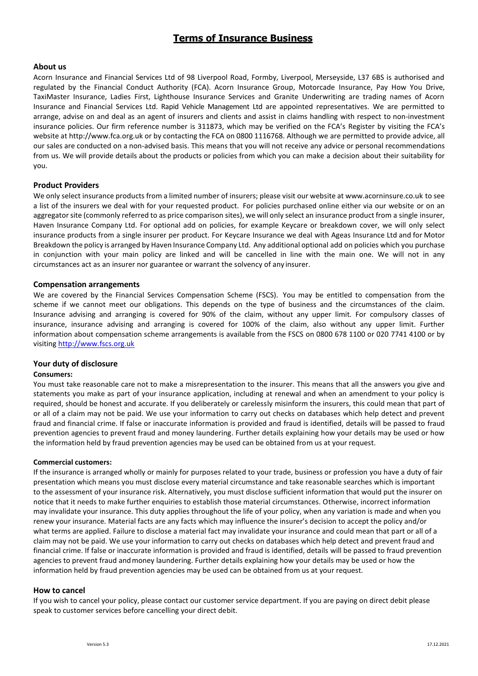# **Terms of Insurance Business**

# **About us**

Acorn Insurance and Financial Services Ltd of 98 Liverpool Road, Formby, Liverpool, Merseyside, L37 6BS is authorised and regulated by the Financial Conduct Authority (FCA). Acorn Insurance Group, Motorcade Insurance, Pay How You Drive, TaxiMaster Insurance, Ladies First, Lighthouse Insurance Services and Granite Underwriting are trading names of Acorn Insurance and Financial Services Ltd. Rapid Vehicle Management Ltd are appointed representatives. We are permitted to arrange, advise on and deal as an agent of insurers and clients and assist in claims handling with respect to non-investment insurance policies. Our firm reference number is 311873, which may be verified on the FCA's Register by visiting the FCA's website at [http://www.fca.org.uk](http://www.fca.org.uk/) or by contacting the FCA on 0800 1116768. Although we are permitted to provide advice, all our sales are conducted on a non-advised basis. This means that you will not receive any advice or personal recommendations from us. We will provide details about the products or policies from which you can make a decision about their suitability for you.

# **Product Providers**

We only select insurance products from a limited number of insurers; please visit our website at [www.acorninsure.co.uk](https://www.acorninsure.co.uk/wp-content/uploads/2017/04/AcornPrivacyPolicy.pdf) to see a list of the insurers we deal with for your requested product. For policies purchased online either via our website or on an aggregator site (commonly referred to as price comparison sites), we will only select an insurance product from a single insurer, Haven Insurance Company Ltd. For optional add on policies, for example Keycare or breakdown cover, we will only select insurance products from a single insurer per product. For Keycare Insurance we deal with Ageas Insurance Ltd and for Motor Breakdown the policy is arranged by Haven Insurance Company Ltd. Any additional optional add on policies which you purchase in conjunction with your main policy are linked and will be cancelled in line with the main one. We will not in any circumstances act as an insurer nor guarantee or warrant the solvency of any insurer.

#### **Compensation arrangements**

We are covered by the Financial Services Compensation Scheme (FSCS). You may be entitled to compensation from the scheme if we cannot meet our obligations. This depends on the type of business and the circumstances of the claim. Insurance advising and arranging is covered for 90% of the claim, without any upper limit. For compulsory classes of insurance, insurance advising and arranging is covered for 100% of the claim, also without any upper limit. Further information about compensation scheme arrangements is available from the FSCS on 0800 678 1100 or 020 7741 4100 or by visitin[g http://www.fscs.org.uk](http://www.fscs.org.uk/)

# **Your duty of disclosure**

#### **Consumers:**

You must take reasonable care not to make a misrepresentation to the insurer. This means that all the answers you give and statements you make as part of your insurance application, including at renewal and when an amendment to your policy is required, should be honest and accurate. If you deliberately or carelessly misinform the insurers, this could mean that part of or all of a claim may not be paid. We use your information to carry out checks on databases which help detect and prevent fraud and financial crime. If false or inaccurate information is provided and fraud is identified, details will be passed to fraud prevention agencies to prevent fraud and money laundering. Further details explaining how your details may be used or how the information held by fraud prevention agencies may be used can be obtained from us at your request.

#### **Commercial customers:**

If the insurance is arranged wholly or mainly for purposes related to your trade, business or profession you have a duty of fair presentation which means you must disclose every material circumstance and take reasonable searches which is important to the assessment of your insurance risk. Alternatively, you must disclose sufficient information that would put the insurer on notice that it needs to make further enquiries to establish those material circumstances. Otherwise, incorrect information may invalidate your insurance. This duty applies throughout the life of your policy, when any variation is made and when you renew your insurance*.* Material facts are any facts which may influence the insurer's decision to accept the policy and/or what terms are applied. Failure to disclose a material fact may invalidate your insurance and could mean that part or all of a claim may not be paid. We use your information to carry out checks on databases which help detect and prevent fraud and financial crime. If false or inaccurate information is provided and fraud is identified, details will be passed to fraud prevention agencies to prevent fraud andmoney laundering. Further details explaining how your details may be used or how the information held by fraud prevention agencies may be used can be obtained from us at your request.

#### **How to cancel**

If you wish to cancel your policy, please contact our customer service department. If you are paying on direct debit please speak to customer services before cancelling your direct debit.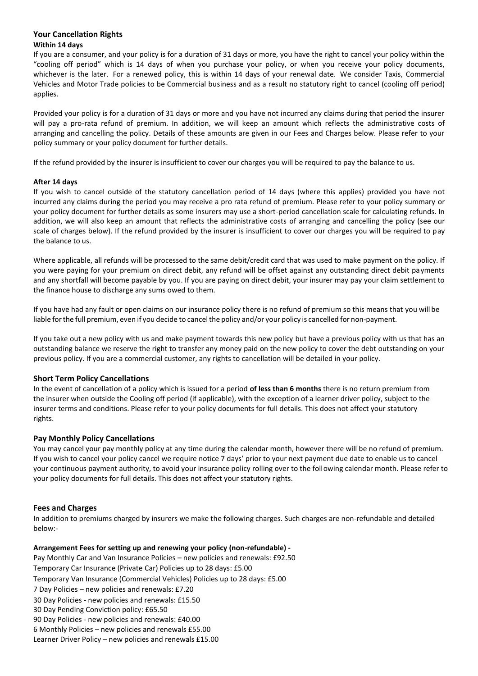# **Your Cancellation Rights Within 14 days**

If you are a consumer, and your policy is for a duration of 31 days or more, you have the right to cancel your policy within the "cooling off period" which is 14 days of when you purchase your policy, or when you receive your policy documents, whichever is the later. For a renewed policy, this is within 14 days of your renewal date. We consider Taxis, Commercial Vehicles and Motor Trade policies to be Commercial business and as a result no statutory right to cancel (cooling off period) applies.

Provided your policy is for a duration of 31 days or more and you have not incurred any claims during that period the insurer will pay a pro-rata refund of premium. In addition, we will keep an amount which reflects the administrative costs of arranging and cancelling the policy. Details of these amounts are given in our Fees and Charges below. Please refer to your policy summary or your policy document for further details.

If the refund provided by the insurer is insufficient to cover our charges you will be required to pay the balance to us.

# **After 14 days**

If you wish to cancel outside of the statutory cancellation period of 14 days (where this applies) provided you have not incurred any claims during the period you may receive a pro rata refund of premium. Please refer to your policy summary or your policy document for further details as some insurers may use a short-period cancellation scale for calculating refunds. In addition, we will also keep an amount that reflects the administrative costs of arranging and cancelling the policy (see our scale of charges below). If the refund provided by the insurer is insufficient to cover our charges you will be required to pay the balance to us.

Where applicable, all refunds will be processed to the same debit/credit card that was used to make payment on the policy. If you were paying for your premium on direct debit, any refund will be offset against any outstanding direct debit payments and any shortfall will become payable by you. If you are paying on direct debit, your insurer may pay your claim settlement to the finance house to discharge any sums owed to them.

If you have had any fault or open claims on our insurance policy there is no refund of premium so this means that you will be liable forthe full premium, even if you decide to cancelthe policy and/or your policy is cancelled for non-payment.

If you take out a new policy with us and make payment towards this new policy but have a previous policy with us that has an outstanding balance we reserve the right to transfer any money paid on the new policy to cover the debt outstanding on your previous policy. If you are a commercial customer, any rights to cancellation will be detailed in your policy.

# **Short Term Policy Cancellations**

In the event of cancellation of a policy which is issued for a period **of less than 6 months** there is no return premium from the insurer when outside the Cooling off period (if applicable), with the exception of a learner driver policy, subject to the insurer terms and conditions. Please refer to your policy documents for full details. This does not affect your statutory rights.

# **Pay Monthly Policy Cancellations**

You may cancel your pay monthly policy at any time during the calendar month, however there will be no refund of premium. If you wish to cancel your policy cancel we require notice 7 days' prior to your next payment due date to enable us to cancel your continuous payment authority, to avoid your insurance policy rolling over to the following calendar month. Please refer to your policy documents for full details. This does not affect your statutory rights.

# **Fees and Charges**

In addition to premiums charged by insurers we make the following charges. Such charges are non-refundable and detailed below:-

# **Arrangement Fees for setting up and renewing your policy (non-refundable) -**

Pay Monthly Car and Van Insurance Policies – new policies and renewals: £92.50 Temporary Car Insurance (Private Car) Policies up to 28 days: £5.00 Temporary Van Insurance (Commercial Vehicles) Policies up to 28 days: £5.00 7 Day Policies – new policies and renewals: £7.20 30 Day Policies - new policies and renewals: £15.50 30 Day Pending Conviction policy: £65.50 90 Day Policies - new policies and renewals: £40.00 6 Monthly Policies – new policies and renewals £55.00 Learner Driver Policy – new policies and renewals £15.00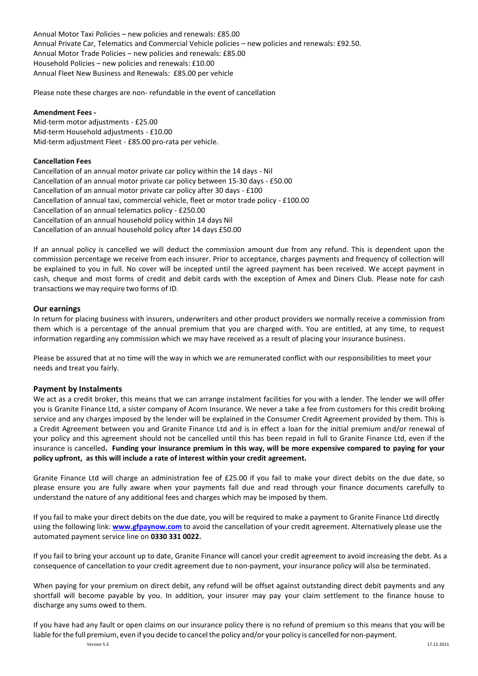Annual Motor Taxi Policies – new policies and renewals: £85.00 Annual Private Car, Telematics and Commercial Vehicle policies – new policies and renewals: £92.50. Annual Motor Trade Policies – new policies and renewals: £85.00 Household Policies – new policies and renewals: £10.00 Annual Fleet New Business and Renewals: £85.00 per vehicle

Please note these charges are non- refundable in the event of cancellation

#### **Amendment Fees -**

Mid-term motor adjustments - £25.00 Mid-term Household adjustments - £10.00 Mid-term adjustment Fleet - £85.00 pro-rata per vehicle.

#### **Cancellation Fees**

Cancellation of an annual motor private car policy within the 14 days - Nil Cancellation of an annual motor private car policy between 15-30 days - £50.00 Cancellation of an annual motor private car policy after 30 days - £100 Cancellation of annual taxi, commercial vehicle, fleet or motor trade policy - £100.00 Cancellation of an annual telematics policy - £250.00 Cancellation of an annual household policy within 14 days Nil Cancellation of an annual household policy after 14 days £50.00

If an annual policy is cancelled we will deduct the commission amount due from any refund. This is dependent upon the commission percentage we receive from each insurer. Prior to acceptance, charges payments and frequency of collection will be explained to you in full. No cover will be incepted until the agreed payment has been received. We accept payment in cash, cheque and most forms of credit and debit cards with the exception of Amex and Diners Club. Please note for cash transactions we may require two forms of ID.

# **Our earnings**

In return for placing business with insurers, underwriters and other product providers we normally receive a commission from them which is a percentage of the annual premium that you are charged with. You are entitled, at any time, to request information regarding any commission which we may have received as a result of placing your insurance business.

Please be assured that at no time will the way in which we are remunerated conflict with our responsibilities to meet your needs and treat you fairly.

# **Payment by Instalments**

We act as a credit broker, this means that we can arrange instalment facilities for you with a lender. The lender we will offer you is Granite Finance Ltd, a sister company of Acorn Insurance. We never a take a fee from customers for this credit broking service and any charges imposed by the lender will be explained in the Consumer Credit Agreement provided by them. This is a Credit Agreement between you and Granite Finance Ltd and is in effect a loan for the initial premium and/or renewal of your policy and this agreement should not be cancelled until this has been repaid in full to Granite Finance Ltd, even if the insurance is cancelled**. Funding your insurance premium in this way, will be more expensive compared to paying for your policy upfront, as this will include a rate of interest within your credit agreement.** 

Granite Finance Ltd will charge an administration fee of £25.00 if you fail to make your direct debits on the due date, so please ensure you are fully aware when your payments fall due and read through your finance documents carefully to understand the nature of any additional fees and charges which may be imposed by them.

If you fail to make your direct debits on the due date, you will be required to make a payment to Granite Finance Ltd directly using the following link: **[www.gfpaynow.com](http://www.gfpaynow.com/)** to avoid the cancellation of your credit agreement. Alternatively please use the automated payment service line on **0330 331 0022.**

If you fail to bring your account up to date, Granite Finance will cancel your credit agreement to avoid increasing the debt. As a consequence of cancellation to your credit agreement due to non-payment, your insurance policy will also be terminated.

When paying for your premium on direct debit, any refund will be offset against outstanding direct debit payments and any shortfall will become payable by you. In addition, your insurer may pay your claim settlement to the finance house to discharge any sums owed to them.

If you have had any fault or open claims on our insurance policy there is no refund of premium so this means that you will be liable forthe full premium, even if you decide to cancelthe policy and/or your policy is cancelled for non-payment.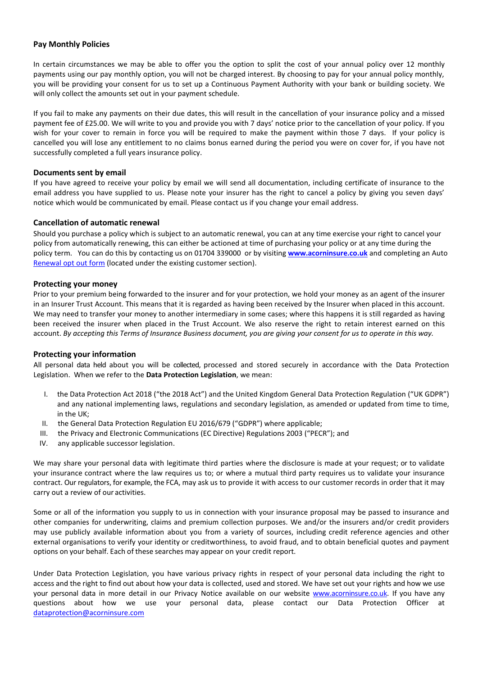# **Pay Monthly Policies**

In certain circumstances we may be able to offer you the option to split the cost of your annual policy over 12 monthly payments using our pay monthly option, you will not be charged interest. By choosing to pay for your annual policy monthly, you will be providing your consent for us to set up a Continuous Payment Authority with your bank or building society. We will only collect the amounts set out in your payment schedule.

If you fail to make any payments on their due dates, this will result in the cancellation of your insurance policy and a missed payment fee of £25.00. We will write to you and provide you with 7 days' notice prior to the cancellation of your policy. If you wish for your cover to remain in force you will be required to make the payment within those 7 days. If your policy is cancelled you will lose any entitlement to no claims bonus earned during the period you were on cover for, if you have not successfully completed a full years insurance policy.

# **Documents sent by email**

If you have agreed to receive your policy by email we will send all documentation, including certificate of insurance to the email address you have supplied to us. Please note your insurer has the right to cancel a policy by giving you seven days' notice which would be communicated by email. Please contact us if you change your email address.

# **Cancellation of automatic renewal**

Should you purchase a policy which is subject to an automatic renewal, you can at any time exercise your right to cancel your policy from automatically renewing, this can either be actioned at time of purchasing your policy or at any time during the policy term. You can do this by contacting us on 01704 339000 or by visiting **[www.acorninsure.co.uk](https://www.acorninsure.co.uk/)** and completing an Auto [Renewal opt](https://www.acorninsure.co.uk/auto-renewal-opt-out/) out form (located under the existing customer section).

# **Protecting your money**

Prior to your premium being forwarded to the insurer and for your protection, we hold your money as an agent of the insurer in an Insurer Trust Account. This means that it is regarded as having been received by the Insurer when placed in this account. We may need to transfer your money to another intermediary in some cases; where this happens it is still regarded as having been received the insurer when placed in the Trust Account. We also reserve the right to retain interest earned on this account. *By accepting this Terms of Insurance Business document, you are giving your consent for us to operate in this way.*

# **Protecting your information**

All personal data held about you will be collected, processed and stored securely in accordance with the Data Protection Legislation. When we refer to the **Data Protection Legislation**, we mean:

- the Data Protection Act 2018 ("the 2018 Act") and the United Kingdom General Data Protection Regulation ("UK GDPR") and any national implementing laws, regulations and secondary legislation, as amended or updated from time to time, in the UK;
- II. the General Data Protection Regulation EU 2016/679 ("GDPR") where applicable;
- III. the Privacy and Electronic Communications (EC Directive) Regulations 2003 ("PECR"); and
- IV. any applicable successor legislation.

We may share your personal data with legitimate third parties where the disclosure is made at your request; or to validate your insurance contract where the law requires us to; or where a mutual third party requires us to validate your insurance contract. Our regulators, for example, the FCA, may ask us to provide it with access to our customer records in order that it may carry out a review of our activities.

Some or all of the information you supply to us in connection with your insurance proposal may be passed to insurance and other companies for underwriting, claims and premium collection purposes. We and/or the insurers and/or credit providers may use publicly available information about you from a variety of sources, including credit reference agencies and other external organisations to verify your identity or creditworthiness*,* to avoid fraud, and to obtain beneficial quotes and payment options on your behalf. Each of these searches may appear on your credit report.

Under Data Protection Legislation, you have various privacy rights in respect of your personal data including the right to access and the right to find out about how your data is collected, used and stored. We have set out your rights and how we use your personal data in more detail in our Privacy Notice available on our website [www.acorninsure.co.uk.](http://www.acorninsure.co.uk/) If you have any questions about how we use your personal data, please contact our Data Protection Officer at [dataprotection@acorninsure.com](mailto:dataprotection@acorninsure.com)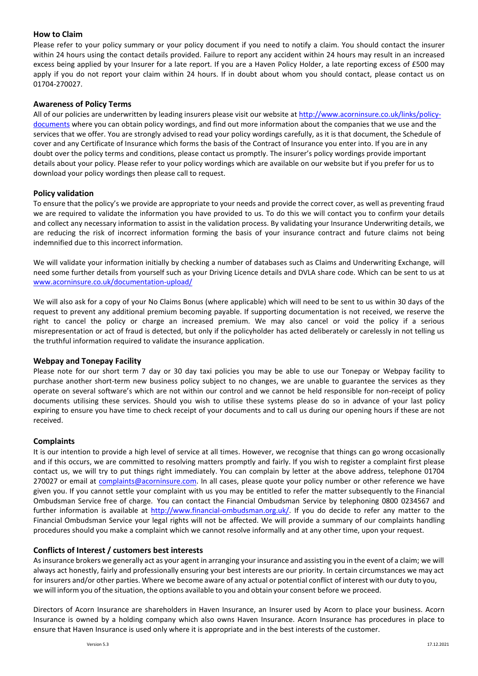# **How to Claim**

Please refer to your policy summary or your policy document if you need to notify a claim. You should contact the insurer within 24 hours using the contact details provided. Failure to report any accident within 24 hours may result in an increased excess being applied by your Insurer for a late report. If you are a Haven Policy Holder, a late reporting excess of £500 may apply if you do not report your claim within 24 hours. If in doubt about whom you should contact, please contact us on 01704-270027.

# **Awareness of Policy Terms**

All of our policies are underwritten by leading insurers please visit our website a[t http://www.acorninsure.co.uk/links/policy](http://www.acorninsure.co.uk/links/policy-documents)[documents](http://www.acorninsure.co.uk/links/policy-documents) where you can obtain policy wordings, and find out more information about the companies that we use and the services that we offer. You are strongly advised to read your policy wordings carefully, as it is that document, the Schedule of cover and any Certificate of Insurance which forms the basis of the Contract of Insurance you enter into. If you are in any doubt over the policy terms and conditions, please contact us promptly. The insurer's policy wordings provide important details about your policy. Please refer to your policy wordings which are available on our website but if you prefer for us to download your policy wordings then please call to request.

# **Policy validation**

To ensure that the policy's we provide are appropriate to your needs and provide the correct cover, as well as preventing fraud we are required to validate the information you have provided to us. To do this we will contact you to confirm your details and collect any necessary information to assist in the validation process. By validating your Insurance Underwriting details, we are reducing the risk of incorrect information forming the basis of your insurance contract and future claims not being indemnified due to this incorrect information.

We will validate your information initially by checking a number of databases such as Claims and Underwriting Exchange, will need some further details from yourself such as your Driving Licence details and DVLA share code. Which can be sent to us at [www.acorninsure.co.uk/documentation-upload/](http://www.acorninsure.co.uk/documentation-upload/)

We will also ask for a copy of your No Claims Bonus (where applicable) which will need to be sent to us within 30 days of the request to prevent any additional premium becoming payable. If supporting documentation is not received, we reserve the right to cancel the policy or charge an increased premium. We may also cancel or void the policy if a serious misrepresentation or act of fraud is detected, but only if the policyholder has acted deliberately or carelessly in not telling us the truthful information required to validate the insurance application.

# **Webpay and Tonepay Facility**

Please note for our short term 7 day or 30 day taxi policies you may be able to use our Tonepay or Webpay facility to purchase another short-term new business policy subject to no changes, we are unable to guarantee the services as they operate on several software's which are not within our control and we cannot be held responsible for non-receipt of policy documents utilising these services. Should you wish to utilise these systems please do so in advance of your last policy expiring to ensure you have time to check receipt of your documents and to call us during our opening hours if these are not received.

# **Complaints**

It is our intention to provide a high level of service at all times. However, we recognise that things can go wrong occasionally and if this occurs, we are committed to resolving matters promptly and fairly. If you wish to register a complaint first please contact us, we will try to put things right immediately. You can complain by letter at the above address, telephone 01704 270027 or email at [complaints@acorninsure.com.](mailto:complaints@acorninsure.com) In all cases, please quote your policy number or other reference we have given you. If you cannot settle your complaint with us you may be entitled to refer the matter subsequently to the Financial Ombudsman Service free of charge. You can contact the Financial Ombudsman Service by telephoning 0800 0234567 and further information is available at [http://www.financial-ombudsman.org.uk/.](http://www.financial-ombudsman.org.uk/) If you do decide to refer any matter to the Financial Ombudsman Service your legal rights will not be affected. We will provide a summary of our complaints handling procedures should you make a complaint which we cannot resolve informally and at any other time, upon your request.

# **Conflicts of Interest / customers best interests**

Asinsurance brokers we generally act as your agent in arranging your insurance and assisting you in the event of a claim; we will always act honestly, fairly and professionally ensuring your best interests are our priority. In certain circumstances we may act for insurers and/or other parties. Where we become aware of any actual or potential conflict of interest with our duty to you, we will inform you of the situation, the options available to you and obtain your consent before we proceed.

Directors of Acorn Insurance are shareholders in Haven Insurance, an Insurer used by Acorn to place your business. Acorn Insurance is owned by a holding company which also owns Haven Insurance. Acorn Insurance has procedures in place to ensure that Haven Insurance is used only where it is appropriate and in the best interests of the customer.